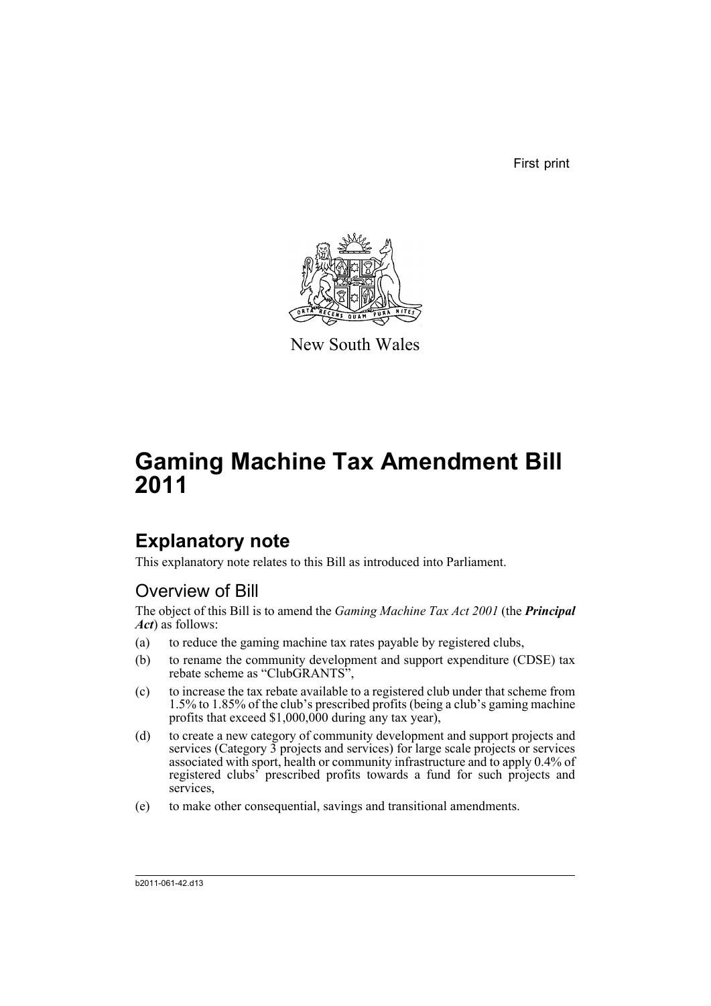First print



New South Wales

# **Gaming Machine Tax Amendment Bill 2011**

## **Explanatory note**

This explanatory note relates to this Bill as introduced into Parliament.

### Overview of Bill

The object of this Bill is to amend the *Gaming Machine Tax Act 2001* (the *Principal Act*) as follows:

- (a) to reduce the gaming machine tax rates payable by registered clubs,
- (b) to rename the community development and support expenditure (CDSE) tax rebate scheme as "ClubGRANTS",
- (c) to increase the tax rebate available to a registered club under that scheme from 1.5% to 1.85% of the club's prescribed profits (being a club's gaming machine profits that exceed \$1,000,000 during any tax year),
- (d) to create a new category of community development and support projects and services (Category 3 projects and services) for large scale projects or services associated with sport, health or community infrastructure and to apply 0.4% of registered clubs' prescribed profits towards a fund for such projects and services,
- (e) to make other consequential, savings and transitional amendments.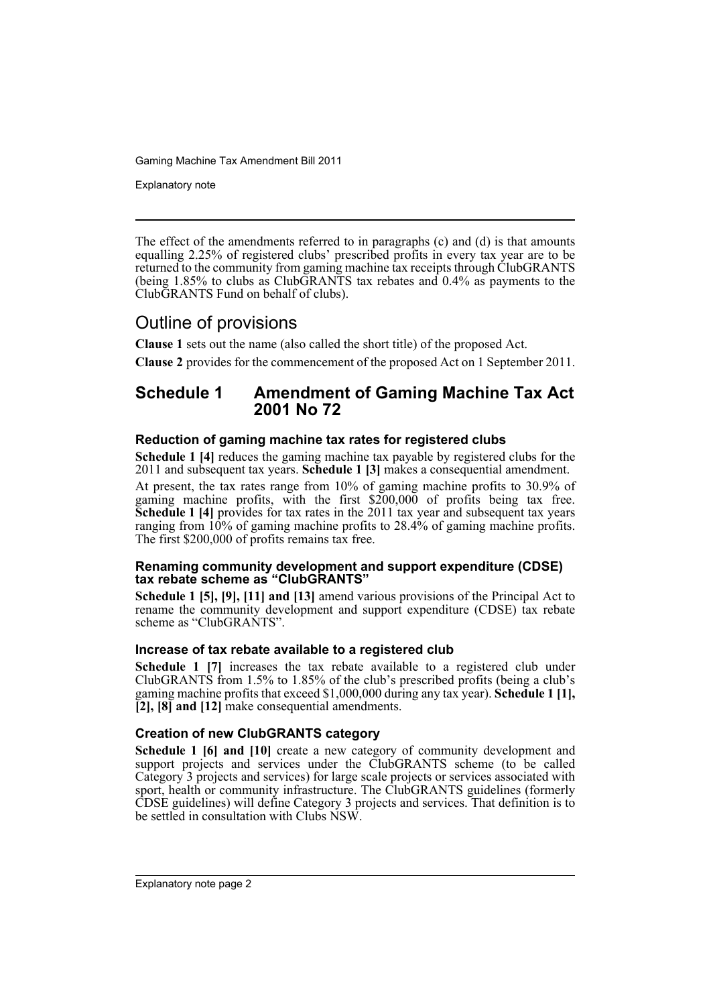Explanatory note

The effect of the amendments referred to in paragraphs (c) and (d) is that amounts equalling 2.25% of registered clubs' prescribed profits in every tax year are to be returned to the community from gaming machine tax receipts through ClubGRANTS (being 1.85% to clubs as ClubGRANTS tax rebates and 0.4% as payments to the ClubGRANTS Fund on behalf of clubs).

### Outline of provisions

**Clause 1** sets out the name (also called the short title) of the proposed Act.

**Clause 2** provides for the commencement of the proposed Act on 1 September 2011.

### **Schedule 1 Amendment of Gaming Machine Tax Act 2001 No 72**

#### **Reduction of gaming machine tax rates for registered clubs**

**Schedule 1 [4]** reduces the gaming machine tax payable by registered clubs for the 2011 and subsequent tax years. **Schedule 1 [3]** makes a consequential amendment.

At present, the tax rates range from 10% of gaming machine profits to 30.9% of gaming machine profits, with the first \$200,000 of profits being tax free. **Schedule 1 [4]** provides for tax rates in the 2011 tax year and subsequent tax years ranging from 10% of gaming machine profits to 28.4% of gaming machine profits. The first \$200,000 of profits remains tax free.

#### **Renaming community development and support expenditure (CDSE) tax rebate scheme as "ClubGRANTS"**

**Schedule 1 [5], [9], [11] and [13]** amend various provisions of the Principal Act to rename the community development and support expenditure (CDSE) tax rebate scheme as "ClubGRANTS".

#### **Increase of tax rebate available to a registered club**

**Schedule 1 [7]** increases the tax rebate available to a registered club under ClubGRANTS from 1.5% to 1.85% of the club's prescribed profits (being a club's gaming machine profits that exceed \$1,000,000 during any tax year). **Schedule 1 [1], [2], [8] and [12]** make consequential amendments.

#### **Creation of new ClubGRANTS category**

**Schedule 1 [6] and [10]** create a new category of community development and support projects and services under the ClubGRANTS scheme (to be called Category 3 projects and services) for large scale projects or services associated with sport, health or community infrastructure. The ClubGRANTS guidelines (formerly CDSE guidelines) will define Category 3 projects and services. That definition is to be settled in consultation with Clubs NSW.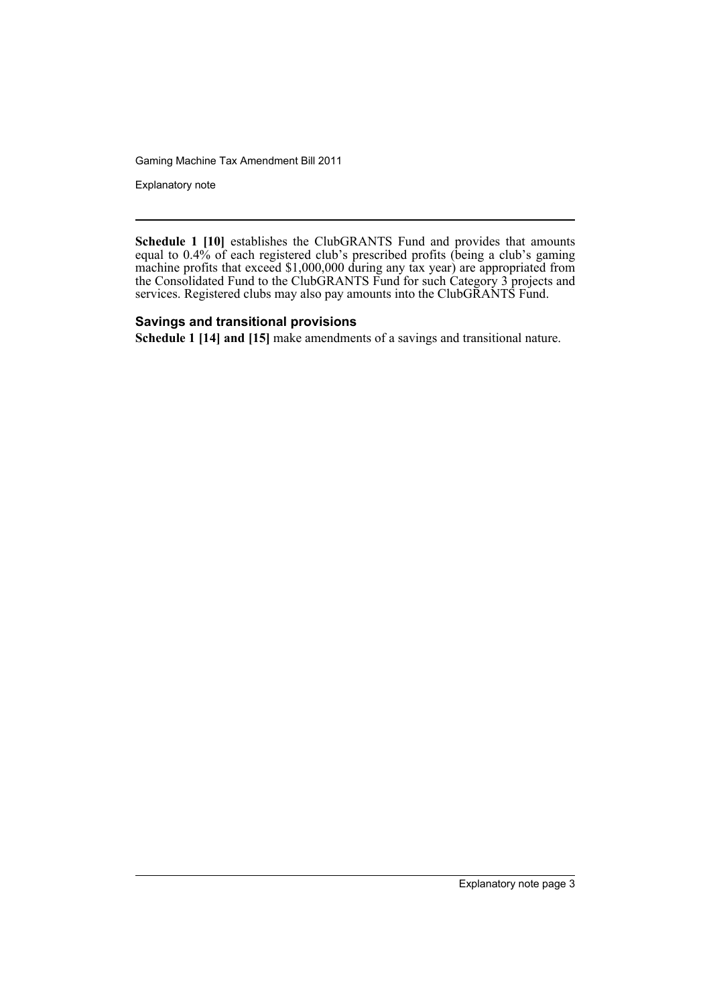Explanatory note

**Schedule 1 [10]** establishes the ClubGRANTS Fund and provides that amounts equal to 0.4% of each registered club's prescribed profits (being a club's gaming machine profits that exceed \$1,000,000 during any tax year) are appropriated from the Consolidated Fund to the ClubGRANTS Fund for such Category 3 projects and services. Registered clubs may also pay amounts into the ClubGRANTS Fund.

#### **Savings and transitional provisions**

**Schedule 1 [14] and [15]** make amendments of a savings and transitional nature.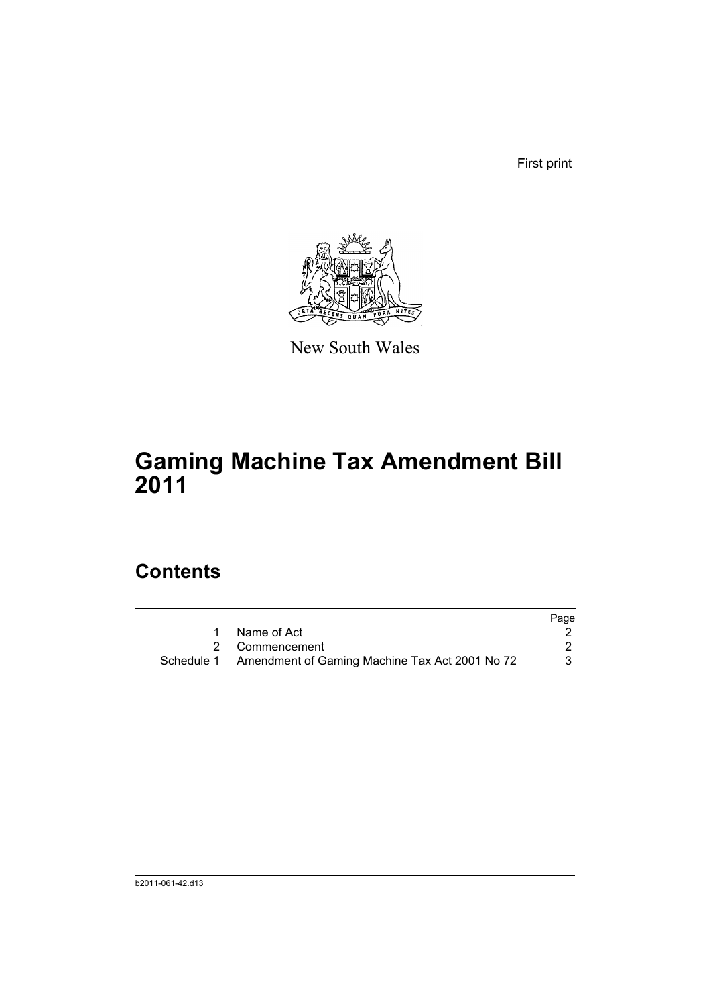First print



New South Wales

# **Gaming Machine Tax Amendment Bill 2011**

## **Contents**

|                                                           | Page |
|-----------------------------------------------------------|------|
| 1 Name of Act                                             |      |
| 2 Commencement                                            |      |
| Schedule 1 Amendment of Gaming Machine Tax Act 2001 No 72 | 3    |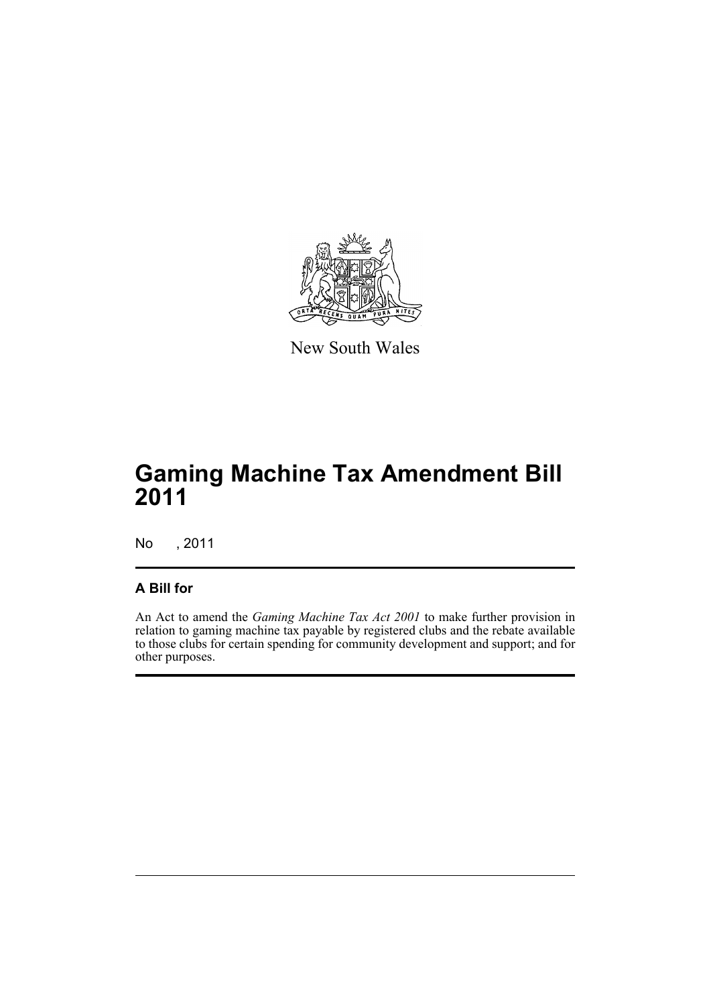

New South Wales

## **Gaming Machine Tax Amendment Bill 2011**

No , 2011

#### **A Bill for**

An Act to amend the *Gaming Machine Tax Act 2001* to make further provision in relation to gaming machine tax payable by registered clubs and the rebate available to those clubs for certain spending for community development and support; and for other purposes.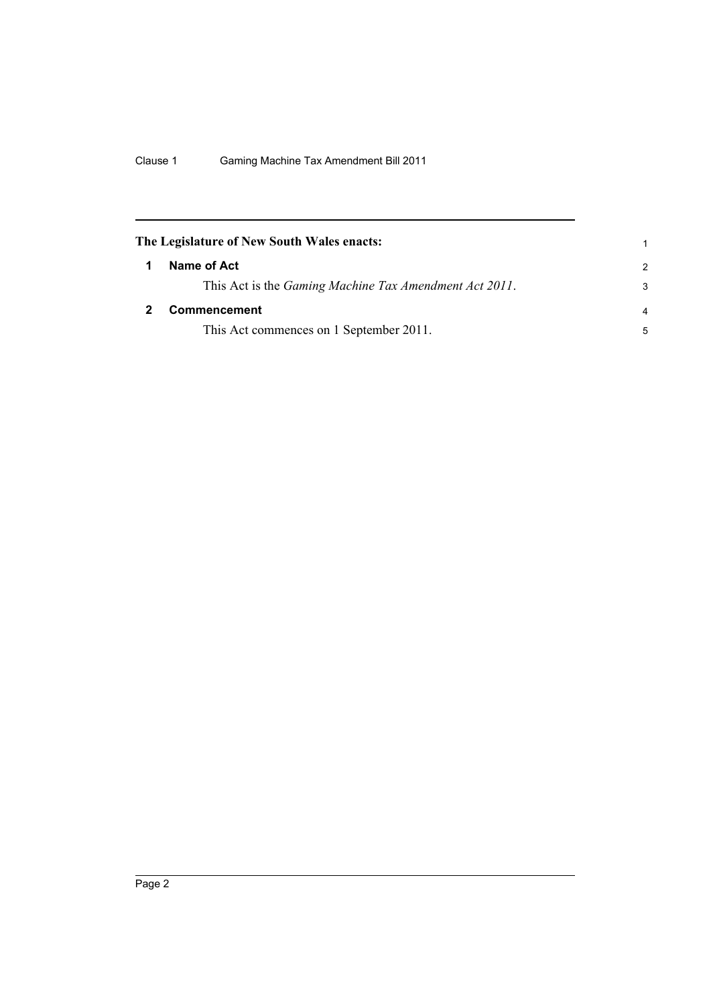<span id="page-7-1"></span><span id="page-7-0"></span>

|   | The Legislature of New South Wales enacts:                     |                |
|---|----------------------------------------------------------------|----------------|
| 1 | Name of Act                                                    | $\mathcal{P}$  |
|   | This Act is the <i>Gaming Machine Tax Amendment Act 2011</i> . | 3              |
|   | <b>Commencement</b>                                            | $\overline{a}$ |
|   | This Act commences on 1 September 2011.                        | 5              |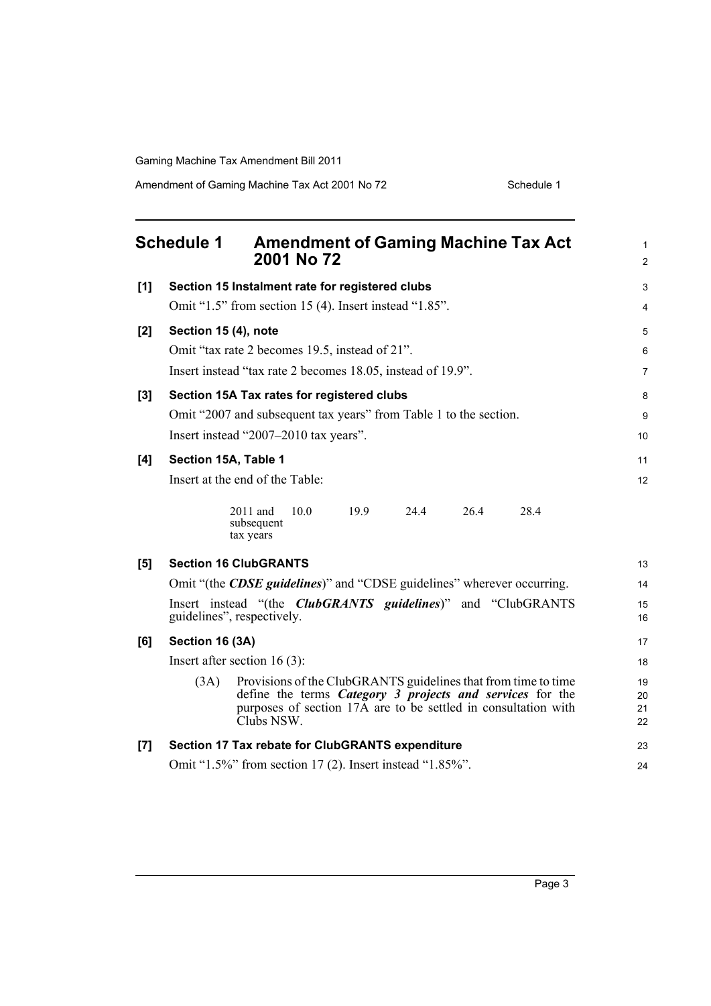Amendment of Gaming Machine Tax Act 2001 No 72 Schedule 1

<span id="page-8-0"></span>

| <b>Schedule 1</b><br><b>Amendment of Gaming Machine Tax Act</b><br>2001 No 72 |                                                                                                                                                                                                                     |                      |  |  |
|-------------------------------------------------------------------------------|---------------------------------------------------------------------------------------------------------------------------------------------------------------------------------------------------------------------|----------------------|--|--|
| [1]                                                                           | Section 15 Instalment rate for registered clubs                                                                                                                                                                     | $\mathsf 3$          |  |  |
|                                                                               | Omit "1.5" from section 15 (4). Insert instead "1.85".                                                                                                                                                              | 4                    |  |  |
| [2]                                                                           | Section 15 (4), note                                                                                                                                                                                                | 5                    |  |  |
|                                                                               | Omit "tax rate 2 becomes 19.5, instead of 21".                                                                                                                                                                      | 6                    |  |  |
|                                                                               | Insert instead "tax rate 2 becomes 18.05, instead of 19.9".                                                                                                                                                         | $\overline{7}$       |  |  |
| $[3]$                                                                         | Section 15A Tax rates for registered clubs                                                                                                                                                                          | 8                    |  |  |
|                                                                               | Omit "2007 and subsequent tax years" from Table 1 to the section.                                                                                                                                                   | $\boldsymbol{9}$     |  |  |
|                                                                               | Insert instead "2007-2010 tax years".                                                                                                                                                                               | 10                   |  |  |
| [4]                                                                           | Section 15A, Table 1                                                                                                                                                                                                | 11                   |  |  |
|                                                                               | Insert at the end of the Table:                                                                                                                                                                                     | 12                   |  |  |
|                                                                               | 26.4<br>28.4<br>2011 and<br>10.0<br>19.9<br>24.4<br>subsequent<br>tax years                                                                                                                                         |                      |  |  |
| [5]                                                                           | <b>Section 16 ClubGRANTS</b>                                                                                                                                                                                        | 13                   |  |  |
|                                                                               | Omit "(the <b>CDSE</b> guidelines)" and "CDSE guidelines" wherever occurring.                                                                                                                                       | 14                   |  |  |
|                                                                               | Insert instead "(the <i>ClubGRANTS</i> guidelines)" and "ClubGRANTS<br>guidelines", respectively.                                                                                                                   | 15<br>16             |  |  |
| [6]                                                                           | Section 16 (3A)                                                                                                                                                                                                     | 17                   |  |  |
|                                                                               | Insert after section $16(3)$ :                                                                                                                                                                                      | 18                   |  |  |
|                                                                               | Provisions of the ClubGRANTS guidelines that from time to time<br>(3A)<br>define the terms Category 3 projects and services for the<br>purposes of section 17A are to be settled in consultation with<br>Clubs NSW. | 19<br>20<br>21<br>22 |  |  |
| $[7]$                                                                         | Section 17 Tax rebate for ClubGRANTS expenditure                                                                                                                                                                    | 23                   |  |  |
|                                                                               | Omit "1.5%" from section 17 (2). Insert instead "1.85%".                                                                                                                                                            | 24                   |  |  |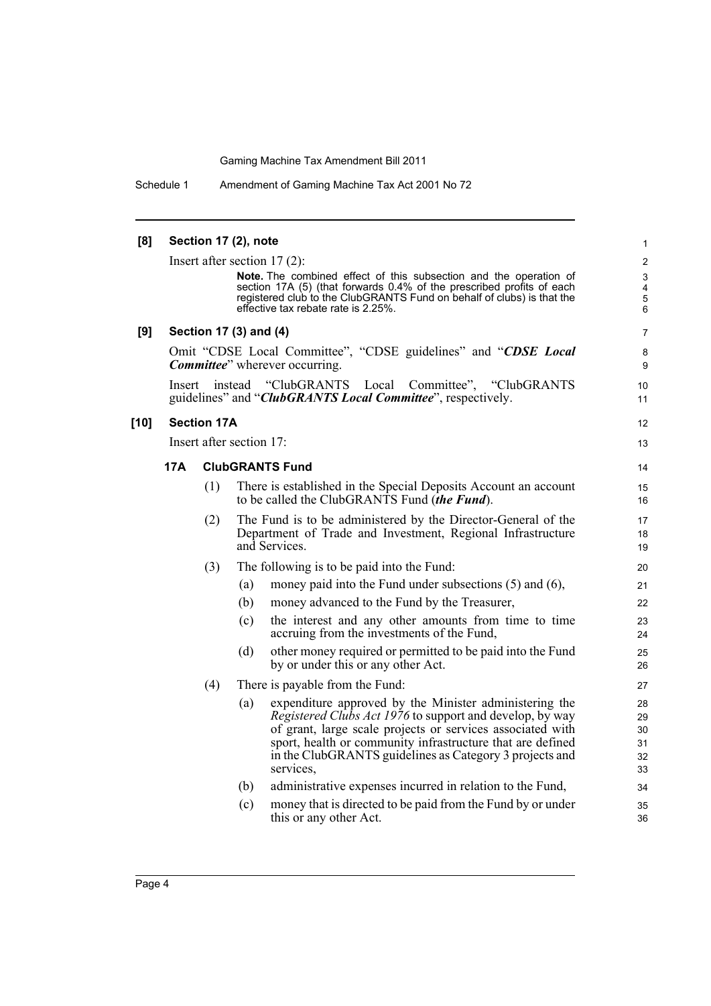Schedule 1 Amendment of Gaming Machine Tax Act 2001 No 72

| [8]    |                                                                                                                                  |     | Section 17 (2), note     |                                                                                                                                                                                                                                                                                                                               | 1                                               |
|--------|----------------------------------------------------------------------------------------------------------------------------------|-----|--------------------------|-------------------------------------------------------------------------------------------------------------------------------------------------------------------------------------------------------------------------------------------------------------------------------------------------------------------------------|-------------------------------------------------|
|        |                                                                                                                                  |     |                          | Insert after section $17(2)$ :<br>Note. The combined effect of this subsection and the operation of<br>section 17A (5) (that forwards 0.4% of the prescribed profits of each<br>registered club to the ClubGRANTS Fund on behalf of clubs) is that the<br>effective tax rebate rate is 2.25%.                                 | $\overline{2}$<br>$\mathfrak{S}$<br>4<br>5<br>6 |
| [9]    |                                                                                                                                  |     | Section 17 (3) and (4)   |                                                                                                                                                                                                                                                                                                                               | 7                                               |
|        | Omit "CDSE Local Committee", "CDSE guidelines" and "CDSE Local<br><b>Committee</b> " wherever occurring.                         |     |                          |                                                                                                                                                                                                                                                                                                                               | 8<br>9                                          |
|        | Insert instead<br>"ClubGRANTS<br>Local<br>Committee", "ClubGRANTS<br>guidelines" and "ClubGRANTS Local Committee", respectively. |     |                          |                                                                                                                                                                                                                                                                                                                               |                                                 |
| $[10]$ | <b>Section 17A</b>                                                                                                               |     |                          |                                                                                                                                                                                                                                                                                                                               | 12                                              |
|        |                                                                                                                                  |     | Insert after section 17: |                                                                                                                                                                                                                                                                                                                               | 13                                              |
|        | 17A                                                                                                                              |     |                          | <b>ClubGRANTS Fund</b>                                                                                                                                                                                                                                                                                                        | 14                                              |
|        |                                                                                                                                  | (1) |                          | There is established in the Special Deposits Account an account<br>to be called the ClubGRANTS Fund <i>(the Fund)</i> .                                                                                                                                                                                                       | 15<br>16                                        |
|        |                                                                                                                                  | (2) |                          | The Fund is to be administered by the Director-General of the<br>Department of Trade and Investment, Regional Infrastructure<br>and Services.                                                                                                                                                                                 | 17<br>18<br>19                                  |
|        |                                                                                                                                  | (3) |                          | The following is to be paid into the Fund:                                                                                                                                                                                                                                                                                    | 20                                              |
|        |                                                                                                                                  |     | (a)                      | money paid into the Fund under subsections $(5)$ and $(6)$ ,                                                                                                                                                                                                                                                                  | 21                                              |
|        |                                                                                                                                  |     | (b)                      | money advanced to the Fund by the Treasurer,                                                                                                                                                                                                                                                                                  | 22                                              |
|        |                                                                                                                                  |     | (c)                      | the interest and any other amounts from time to time<br>accruing from the investments of the Fund,                                                                                                                                                                                                                            | 23<br>24                                        |
|        |                                                                                                                                  |     | (d)                      | other money required or permitted to be paid into the Fund<br>by or under this or any other Act.                                                                                                                                                                                                                              | 25<br>26                                        |
|        |                                                                                                                                  | (4) |                          | There is payable from the Fund:                                                                                                                                                                                                                                                                                               | 27                                              |
|        |                                                                                                                                  |     | (a)                      | expenditure approved by the Minister administering the<br><i>Registered Clubs Act 1976</i> to support and develop, by way<br>of grant, large scale projects or services associated with<br>sport, health or community infrastructure that are defined<br>in the ClubGRANTS guidelines as Category 3 projects and<br>services, | 28<br>29<br>30<br>31<br>32<br>33                |
|        |                                                                                                                                  |     | (b)                      | administrative expenses incurred in relation to the Fund,                                                                                                                                                                                                                                                                     | 34                                              |
|        |                                                                                                                                  |     | (c)                      | money that is directed to be paid from the Fund by or under<br>this or any other Act.                                                                                                                                                                                                                                         | 35<br>36                                        |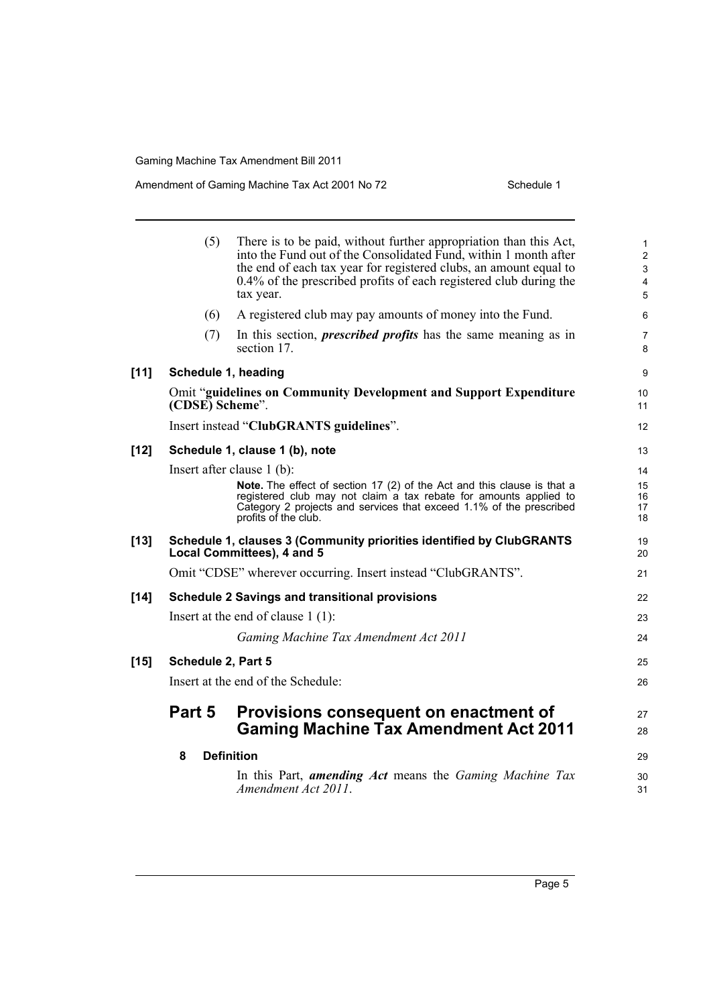#### Amendment of Gaming Machine Tax Act 2001 No 72 Schedule 1

|        | (5)                                                   | There is to be paid, without further appropriation than this Act,<br>into the Fund out of the Consolidated Fund, within 1 month after<br>the end of each tax year for registered clubs, an amount equal to<br>0.4% of the prescribed profits of each registered club during the<br>tax year. | $\mathbf{1}$<br>$\overline{2}$<br>3<br>4<br>5 |
|--------|-------------------------------------------------------|----------------------------------------------------------------------------------------------------------------------------------------------------------------------------------------------------------------------------------------------------------------------------------------------|-----------------------------------------------|
|        | (6)                                                   | A registered club may pay amounts of money into the Fund.                                                                                                                                                                                                                                    | 6                                             |
|        | (7)                                                   | In this section, <i>prescribed profits</i> has the same meaning as in<br>section 17.                                                                                                                                                                                                         | 7<br>8                                        |
| $[11]$ |                                                       | Schedule 1, heading                                                                                                                                                                                                                                                                          | 9                                             |
|        | (CDSE) Scheme".                                       | <b>Omit "guidelines on Community Development and Support Expenditure</b>                                                                                                                                                                                                                     | 10<br>11                                      |
|        |                                                       | Insert instead "ClubGRANTS guidelines".                                                                                                                                                                                                                                                      | 12                                            |
| $[12]$ | Schedule 1, clause 1 (b), note                        |                                                                                                                                                                                                                                                                                              |                                               |
|        |                                                       | Insert after clause $1$ (b):                                                                                                                                                                                                                                                                 | 14                                            |
|        |                                                       | Note. The effect of section 17 (2) of the Act and this clause is that a<br>registered club may not claim a tax rebate for amounts applied to<br>Category 2 projects and services that exceed 1.1% of the prescribed<br>profits of the club.                                                  | 15<br>16<br>17<br>18                          |
| $[13]$ |                                                       | Schedule 1, clauses 3 (Community priorities identified by ClubGRANTS<br>Local Committees), 4 and 5                                                                                                                                                                                           | 19<br>20                                      |
|        |                                                       | Omit "CDSE" wherever occurring. Insert instead "ClubGRANTS".                                                                                                                                                                                                                                 | 21                                            |
| $[14]$ | <b>Schedule 2 Savings and transitional provisions</b> |                                                                                                                                                                                                                                                                                              |                                               |
|        |                                                       | Insert at the end of clause $1(1)$ :                                                                                                                                                                                                                                                         | 23                                            |
|        |                                                       | Gaming Machine Tax Amendment Act 2011                                                                                                                                                                                                                                                        | 24                                            |
| $[15]$ | Schedule 2, Part 5                                    |                                                                                                                                                                                                                                                                                              |                                               |
|        |                                                       | Insert at the end of the Schedule:                                                                                                                                                                                                                                                           | 26                                            |
|        | Part 5                                                | Provisions consequent on enactment of<br><b>Gaming Machine Tax Amendment Act 2011</b>                                                                                                                                                                                                        | 27<br>28                                      |
|        | 8                                                     | <b>Definition</b>                                                                                                                                                                                                                                                                            | 29                                            |
|        |                                                       | In this Part, amending Act means the Gaming Machine Tax<br>Amendment Act 2011.                                                                                                                                                                                                               | 30<br>31                                      |